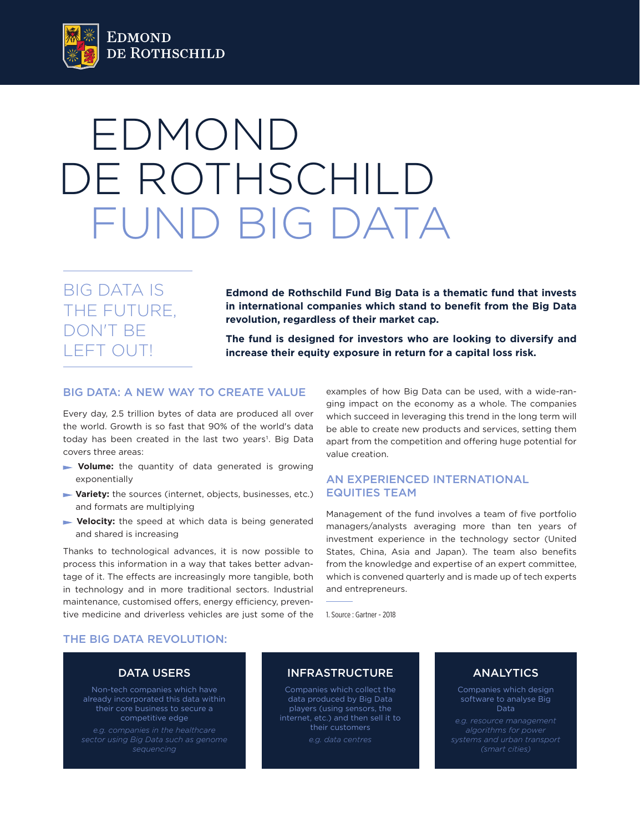

# EDMOND DE ROTHSCHILD FUND BIG DATA

BIG DATA IS THE FUTURE, DON'T BE LEFT OUT!

**Edmond de Rothschild Fund Big Data is a thematic fund that invests in international companies which stand to benefit from the Big Data revolution, regardless of their market cap.** 

**The fund is designed for investors who are looking to diversify and increase their equity exposure in return for a capital loss risk.**

# BIG DATA: A NEW WAY TO CREATE VALUE

Every day, 2.5 trillion bytes of data are produced all over the world. Growth is so fast that 90% of the world's data today has been created in the last two years<sup>1</sup>. Big Data covers three areas:

- **volume:** the quantity of data generated is growing exponentially
- **Variety:** the sources (internet, objects, businesses, etc.) and formats are multiplying
- **Velocity:** the speed at which data is being generated and shared is increasing

Thanks to technological advances, it is now possible to process this information in a way that takes better advantage of it. The effects are increasingly more tangible, both in technology and in more traditional sectors. Industrial maintenance, customised offers, energy efficiency, preventive medicine and driverless vehicles are just some of the examples of how Big Data can be used, with a wide-ranging impact on the economy as a whole. The companies which succeed in leveraging this trend in the long term will be able to create new products and services, setting them apart from the competition and offering huge potential for value creation.

## AN EXPERIENCED INTERNATIONAL EQUITIES TEAM

Management of the fund involves a team of five portfolio managers/analysts averaging more than ten years of investment experience in the technology sector (United States, China, Asia and Japan). The team also benefits from the knowledge and expertise of an expert committee, which is convened quarterly and is made up of tech experts and entrepreneurs.

1. Source : Gartner - 2018

#### THE BIG DATA REVOLUTION:

## DATA USERS

Non-tech companies which have already incorporated this data within their core business to secure a competitive edge

*e.g. companies in the healthcare* 

# INFRASTRUCTURE

Companies which collect the data produced by Big Data players (using sensors, the internet, etc.) and then sell it to their customers *e.g. data centres*

# ANALYTICS

Companies which design software to analyse Big **Data** 

*e.g. resource management algorithms for power (smart cities)*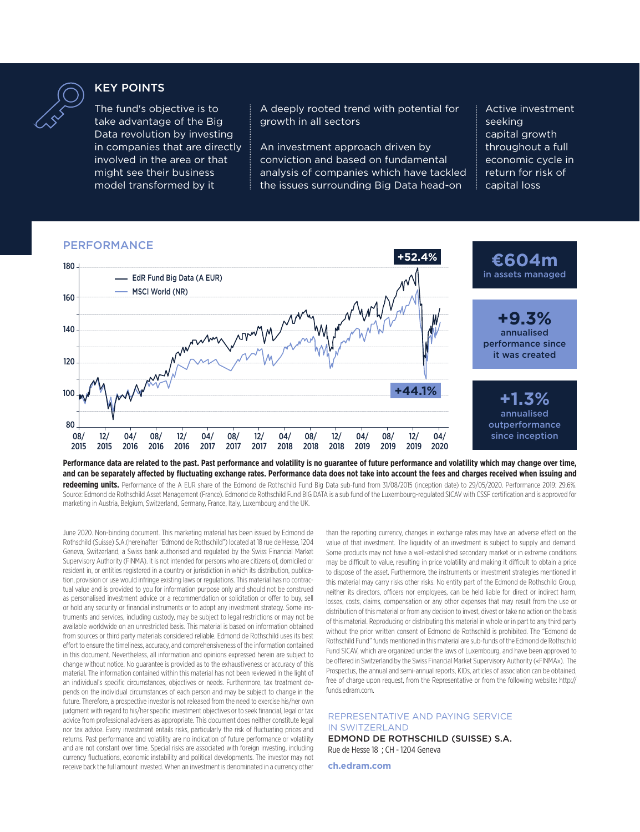

## KEY POINTS

The fund's objective is to take advantage of the Big Data revolution by investing in companies that are directly involved in the area or that might see their business model transformed by it

A deeply rooted trend with potential for growth in all sectors

An investment approach driven by conviction and based on fundamental analysis of companies which have tackled the issues surrounding Big Data head-on

Active investment seeking capital growth throughout a full economic cycle in return for risk of capital loss

## PERFORMANCE



**Performance data are related to the past. Past performance and volatility is no guarantee of future performance and volatility which may change over time, and can be separately affected by fluctuating exchange rates. Performance data does not take into account the fees and charges received when issuing and** 

**redeeming units.** Performance of the A EUR share of the Edmond de Rothschild Fund Big Data sub-fund from 31/08/2015 (inception date) to 29/05/2020. Performance 2019: 29.6%. Source: Edmond de Rothschild Asset Management (France). Edmond de Rothschild Fund BIG DATA is a sub fund of the Luxembourg-regulated SICAV with CSSF certification and is approved for marketing in Austria, Belgium, Switzerland, Germany, France, Italy, Luxembourg and the UK.

June 2020. Non-binding document. This marketing material has been issued by Edmond de Rothschild (Suisse) S.A.(hereinafter "Edmond de Rothschild") located at 18 rue de Hesse, 1204 Geneva, Switzerland, a Swiss bank authorised and regulated by the Swiss Financial Market Supervisory Authority (FINMA). It is not intended for persons who are citizens of, domiciled or resident in, or entities registered in a country or jurisdiction in which its distribution, publication, provision or use would infringe existing laws or regulations. This material has no contractual value and is provided to you for information purpose only and should not be construed as personalised investment advice or a recommendation or solicitation or offer to buy, sell or hold any security or financial instruments or to adopt any investment strategy. Some instruments and services, including custody, may be subject to legal restrictions or may not be available worldwide on an unrestricted basis. This material is based on information obtained from sources or third party materials considered reliable. Edmond de Rothschild uses its best effort to ensure the timeliness, accuracy, and comprehensiveness of the information contained in this document. Nevertheless, all information and opinions expressed herein are subject to change without notice. No guarantee is provided as to the exhaustiveness or accuracy of this material. The information contained within this material has not been reviewed in the light of an individual's specific circumstances, objectives or needs. Furthermore, tax treatment depends on the individual circumstances of each person and may be subject to change in the future. Therefore, a prospective investor is not released from the need to exercise his/her own judgment with regard to his/her specific investment objectives or to seek financial, legal or tax advice from professional advisers as appropriate. This document does neither constitute legal nor tax advice. Every investment entails risks, particularly the risk of fluctuating prices and returns. Past performance and volatility are no indication of future performance or volatility and are not constant over time. Special risks are associated with foreign investing, including currency fluctuations, economic instability and political developments. The investor may not receive back the full amount invested. When an investment is denominated in a currency other

than the reporting currency, changes in exchange rates may have an adverse effect on the value of that investment. The liquidity of an investment is subject to supply and demand. Some products may not have a well-established secondary market or in extreme conditions may be difficult to value, resulting in price volatility and making it difficult to obtain a price to dispose of the asset. Furthermore, the instruments or investment strategies mentioned in this material may carry risks other risks. No entity part of the Edmond de Rothschild Group, neither its directors, officers nor employees, can be held liable for direct or indirect harm, losses, costs, claims, compensation or any other expenses that may result from the use or distribution of this material or from any decision to invest, divest or take no action on the basis of this material. Reproducing or distributing this material in whole or in part to any third party without the prior written consent of Edmond de Rothschild is prohibited. The "Edmond de Rothschild Fund" funds mentioned in this material are sub-funds of the Edmond de Rothschild Fund SICAV, which are organized under the laws of Luxembourg, and have been approved to be offered in Switzerland by the Swiss Financial Market Supervisory Authority («FINMA»). The Prospectus, the annual and semi-annual reports, KIDs, articles of association can be obtained, free of charge upon request, from the Representative or from the following website: http:// funds.edram.com.

#### REPRESENTATIVE AND PAYING SERVICE IN SWITZERLAND

EDMOND DE ROTHSCHILD (SUISSE) S.A. Rue de Hesse 18 ; CH - 1204 Geneva

**ch.edram.com**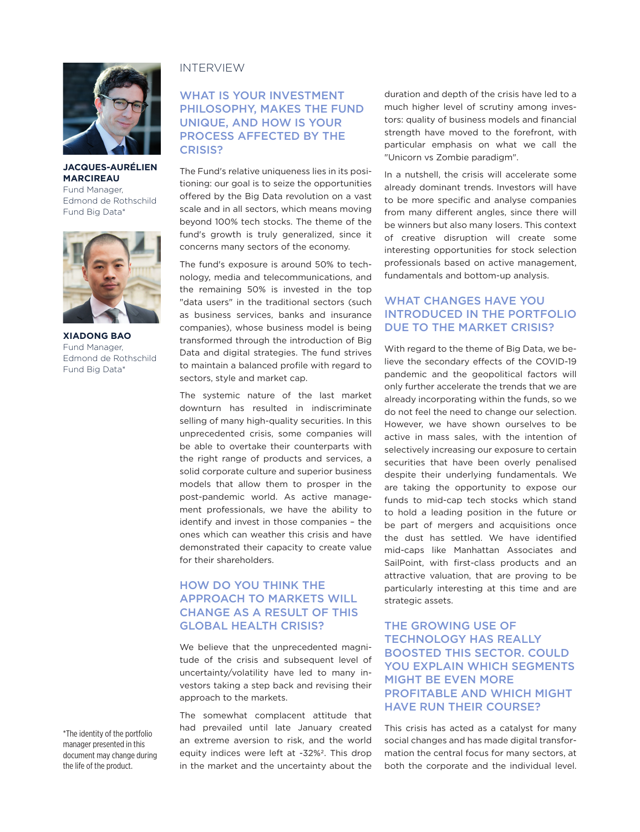

**JACQUES-AURÉLIEN MARCIREAU** Fund Manager, Edmond de Rothschild Fund Big Data\*



**XIADONG BAO** Fund Manager, Edmond de Rothschild Fund Big Data\*

### INTERVIEW

# WHAT IS YOUR INVESTMENT PHILOSOPHY, MAKES THE FUND UNIQUE, AND HOW IS YOUR PROCESS AFFECTED BY THE CRISIS?

The Fund's relative uniqueness lies in its positioning: our goal is to seize the opportunities offered by the Big Data revolution on a vast scale and in all sectors, which means moving beyond 100% tech stocks. The theme of the fund's growth is truly generalized, since it concerns many sectors of the economy.

The fund's exposure is around 50% to technology, media and telecommunications, and the remaining 50% is invested in the top "data users" in the traditional sectors (such as business services, banks and insurance companies), whose business model is being transformed through the introduction of Big Data and digital strategies. The fund strives to maintain a balanced profile with regard to sectors, style and market cap.

The systemic nature of the last market downturn has resulted in indiscriminate selling of many high-quality securities. In this unprecedented crisis, some companies will be able to overtake their counterparts with the right range of products and services, a solid corporate culture and superior business models that allow them to prosper in the post-pandemic world. As active management professionals, we have the ability to identify and invest in those companies – the ones which can weather this crisis and have demonstrated their capacity to create value for their shareholders.

# HOW DO YOU THINK THE APPROACH TO MARKETS WILL CHANGE AS A RESULT OF THIS GLOBAL HEALTH CRISIS?

We believe that the unprecedented magnitude of the crisis and subsequent level of uncertainty/volatility have led to many investors taking a step back and revising their approach to the markets.

The somewhat complacent attitude that had prevailed until late January created an extreme aversion to risk, and the world equity indices were left at -32%2. This drop in the market and the uncertainty about the duration and depth of the crisis have led to a much higher level of scrutiny among investors: quality of business models and financial strength have moved to the forefront, with particular emphasis on what we call the "Unicorn vs Zombie paradigm".

In a nutshell, the crisis will accelerate some already dominant trends. Investors will have to be more specific and analyse companies from many different angles, since there will be winners but also many losers. This context of creative disruption will create some interesting opportunities for stock selection professionals based on active management, fundamentals and bottom-up analysis.

# WHAT CHANGES HAVE YOU INTRODUCED IN THE PORTFOLIO DUE TO THE MARKET CRISIS?

With regard to the theme of Big Data, we believe the secondary effects of the COVID-19 pandemic and the geopolitical factors will only further accelerate the trends that we are already incorporating within the funds, so we do not feel the need to change our selection. However, we have shown ourselves to be active in mass sales, with the intention of selectively increasing our exposure to certain securities that have been overly penalised despite their underlying fundamentals. We are taking the opportunity to expose our funds to mid-cap tech stocks which stand to hold a leading position in the future or be part of mergers and acquisitions once the dust has settled. We have identified mid-caps like Manhattan Associates and SailPoint, with first-class products and an attractive valuation, that are proving to be particularly interesting at this time and are strategic assets.

# THE GROWING USE OF TECHNOLOGY HAS REALLY BOOSTED THIS SECTOR. COULD YOU EXPLAIN WHICH SEGMENTS MIGHT BE EVEN MORE PROFITABLE AND WHICH MIGHT HAVE RUN THEIR COURSE?

This crisis has acted as a catalyst for many social changes and has made digital transformation the central focus for many sectors, at both the corporate and the individual level.

\*The identity of the portfolio manager presented in this document may change during the life of the product.